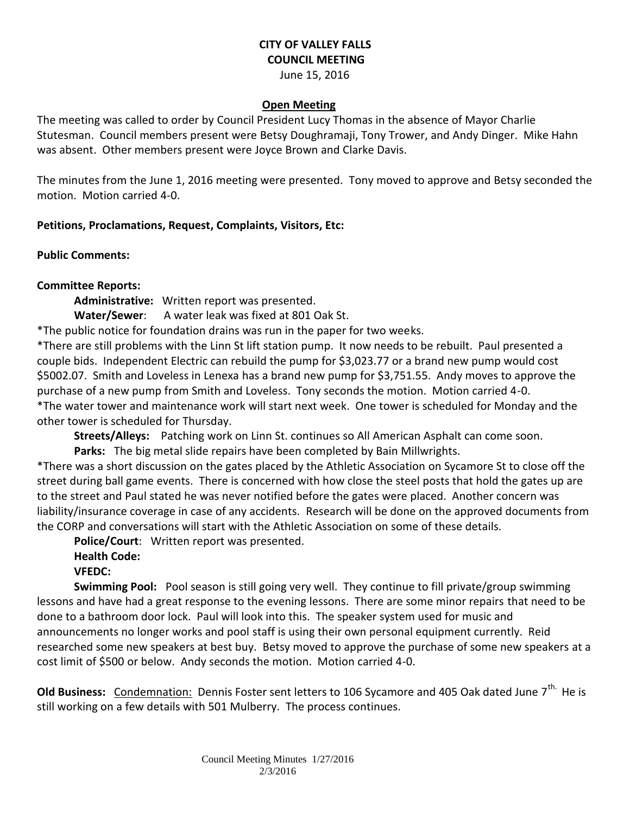# **CITY OF VALLEY FALLS COUNCIL MEETING**

June 15, 2016

#### **Open Meeting**

The meeting was called to order by Council President Lucy Thomas in the absence of Mayor Charlie Stutesman. Council members present were Betsy Doughramaji, Tony Trower, and Andy Dinger. Mike Hahn was absent. Other members present were Joyce Brown and Clarke Davis.

The minutes from the June 1, 2016 meeting were presented. Tony moved to approve and Betsy seconded the motion. Motion carried 4-0.

#### **Petitions, Proclamations, Request, Complaints, Visitors, Etc:**

**Public Comments:** 

### **Committee Reports:**

**Administrative:** Written report was presented.

**Water/Sewer**: A water leak was fixed at 801 Oak St.

\*The public notice for foundation drains was run in the paper for two weeks.

\*There are still problems with the Linn St lift station pump. It now needs to be rebuilt. Paul presented a couple bids. Independent Electric can rebuild the pump for \$3,023.77 or a brand new pump would cost \$5002.07. Smith and Loveless in Lenexa has a brand new pump for \$3,751.55. Andy moves to approve the purchase of a new pump from Smith and Loveless. Tony seconds the motion. Motion carried 4-0. \*The water tower and maintenance work will start next week. One tower is scheduled for Monday and the other tower is scheduled for Thursday.

**Streets/Alleys:** Patching work on Linn St. continues so All American Asphalt can come soon.

**Parks:** The big metal slide repairs have been completed by Bain Millwrights.

\*There was a short discussion on the gates placed by the Athletic Association on Sycamore St to close off the street during ball game events. There is concerned with how close the steel posts that hold the gates up are to the street and Paul stated he was never notified before the gates were placed. Another concern was liability/insurance coverage in case of any accidents. Research will be done on the approved documents from the CORP and conversations will start with the Athletic Association on some of these details.

**Police/Court**: Written report was presented.

## **Health Code:**

### **VFEDC:**

**Swimming Pool:** Pool season is still going very well. They continue to fill private/group swimming lessons and have had a great response to the evening lessons. There are some minor repairs that need to be done to a bathroom door lock. Paul will look into this. The speaker system used for music and announcements no longer works and pool staff is using their own personal equipment currently. Reid researched some new speakers at best buy. Betsy moved to approve the purchase of some new speakers at a cost limit of \$500 or below. Andy seconds the motion. Motion carried 4-0.

**Old Business:** Condemnation: Dennis Foster sent letters to 106 Sycamore and 405 Oak dated June 7<sup>th.</sup> He is still working on a few details with 501 Mulberry. The process continues.